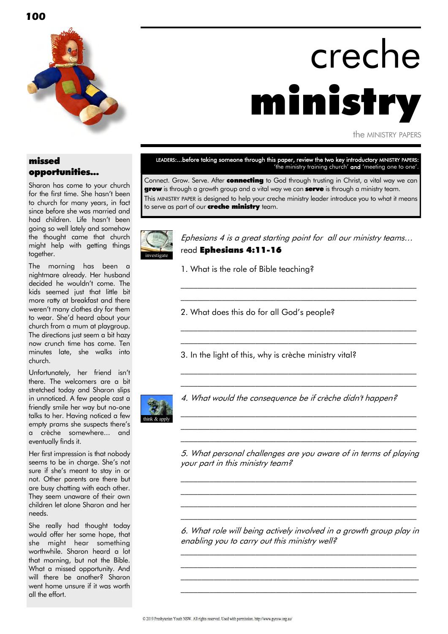

# creche ministry

the MINISTRY PAPERS

#### missed opportunities...

Sharon has come to your church for the first time. She hasn't been to church for many years, in fact since before she was married and had children. Life hasn't been going so well lately and somehow the thought came that church might help with getting things together.

The morning has been a nightmare already. Her husband decided he wouldn"t come. The kids seemed just that little bit more ratty at breakfast and there weren"t many clothes dry for them to wear. She"d heard about your church from a mum at playgroup. The directions just seem a bit hazy now crunch time has come. Ten minutes late, she walks into church.

Unfortunately, her friend isn"t there. The welcomers are a bit stretched today and Sharon slips in unnoticed. A few people cast a friendly smile her way but no-one talks to her. Having noticed a few empty prams she suspects there"s a crèche somewhere... and eventually finds it.

Her first impression is that nobody seems to be in charge. She"s not sure if she"s meant to stay in or not. Other parents are there but are busy chatting with each other. They seem unaware of their own children let alone Sharon and her needs.

She really had thought today would offer her some hope, that she might hear something worthwhile. Sharon heard a lot that morning, but not the Bible. What a missed opportunity. And will there be another? Sharon went home unsure if it was worth all the effort.

LEADERS:...before taking someone through this paper, review the two key introductory MINISTRY PAPERS: 'the ministry training church' and 'meeting one to one'.

Connect. Grow. Serve. After **connecting** to God through trusting in Christ, a vital way we can **grow** is through a growth group and a vital way we can **serve** is through a ministry team. This MINISTRY PAPER is designed to help your creche ministry leader introduce you to what it means to serve as part of our **creche ministry** team.



Ephesians 4 is a great starting point for all our ministry teams… read Ephesians 4:11-16

 $\mathcal{L}_\text{max}$  and the contract of the contract of the contract of the contract of the contract of the contract of \_\_\_\_\_\_\_\_\_\_\_\_\_\_\_\_\_\_\_\_\_\_\_\_\_\_\_\_\_\_\_\_\_\_\_\_\_\_\_\_\_\_\_\_\_\_\_\_\_\_\_\_\_\_\_\_\_

\_\_\_\_\_\_\_\_\_\_\_\_\_\_\_\_\_\_\_\_\_\_\_\_\_\_\_\_\_\_\_\_\_\_\_\_\_\_\_\_\_\_\_\_\_\_\_\_\_\_\_\_\_\_\_\_\_  $\mathcal{L}_\text{max}$  and the contract of the contract of the contract of the contract of the contract of the contract of

 $\mathcal{L}_\text{max}$  and the contract of the contract of the contract of the contract of the contract of the contract of \_\_\_\_\_\_\_\_\_\_\_\_\_\_\_\_\_\_\_\_\_\_\_\_\_\_\_\_\_\_\_\_\_\_\_\_\_\_\_\_\_\_\_\_\_\_\_\_\_\_\_\_\_\_\_\_\_

\_\_\_\_\_\_\_\_\_\_\_\_\_\_\_\_\_\_\_\_\_\_\_\_\_\_\_\_\_\_\_\_\_\_\_\_\_\_\_\_\_\_\_\_\_\_\_\_\_\_\_\_\_\_\_\_\_ \_\_\_\_\_\_\_\_\_\_\_\_\_\_\_\_\_\_\_\_\_\_\_\_\_\_\_\_\_\_\_\_\_\_\_\_\_\_\_\_\_\_\_\_\_\_\_\_\_\_\_\_\_\_\_\_\_ \_\_\_\_\_\_\_\_\_\_\_\_\_\_\_\_\_\_\_\_\_\_\_\_\_\_\_\_\_\_\_\_\_\_\_\_\_\_\_\_\_\_\_\_\_\_\_\_\_\_\_\_\_\_\_\_\_

- 1. What is the role of Bible teaching?
- 2. What does this do for all God"s people?
- 3. In the light of this, why is crèche ministry vital?



4. What would the consequence be if crèche didn't happen?

5. What personal challenges are you aware of in terms of playing your part in this ministry team?

\_\_\_\_\_\_\_\_\_\_\_\_\_\_\_\_\_\_\_\_\_\_\_\_\_\_\_\_\_\_\_\_\_\_\_\_\_\_\_\_\_\_\_\_\_\_\_\_\_\_\_\_\_\_\_\_\_  $\mathcal{L}_\text{max}$  and the contract of the contract of the contract of the contract of the contract of the contract of \_\_\_\_\_\_\_\_\_\_\_\_\_\_\_\_\_\_\_\_\_\_\_\_\_\_\_\_\_\_\_\_\_\_\_\_\_\_\_\_\_\_\_\_\_\_\_\_\_\_\_\_\_\_\_\_\_ \_\_\_\_\_\_\_\_\_\_\_\_\_\_\_\_\_\_\_\_\_\_\_\_\_\_\_\_\_\_\_\_\_\_\_\_\_\_\_\_\_\_\_\_\_\_\_\_\_\_\_\_\_\_\_\_\_

6. What role will being actively involved in a growth group play in enabling you to carry out this ministry well?

\_\_\_\_\_\_\_\_\_\_\_\_\_\_\_\_\_\_\_\_\_\_\_\_\_\_\_\_\_\_\_\_\_\_\_\_\_\_\_\_\_\_\_\_\_\_\_\_\_\_\_\_\_\_\_\_\_  $\mathcal{L}_\text{max}$  and the contract of the contract of the contract of the contract of the contract of the contract of  $\mathcal{L}_\text{max}$  and the contract of the contract of the contract of the contract of the contract of the contract of the contract of the contract of the contract of the contract of the contract of the contract of the contrac \_\_\_\_\_\_\_\_\_\_\_\_\_\_\_\_\_\_\_\_\_\_\_\_\_\_\_\_\_\_\_\_\_\_\_\_\_\_\_\_\_\_\_\_\_\_\_\_\_\_\_\_\_\_\_\_\_

**100**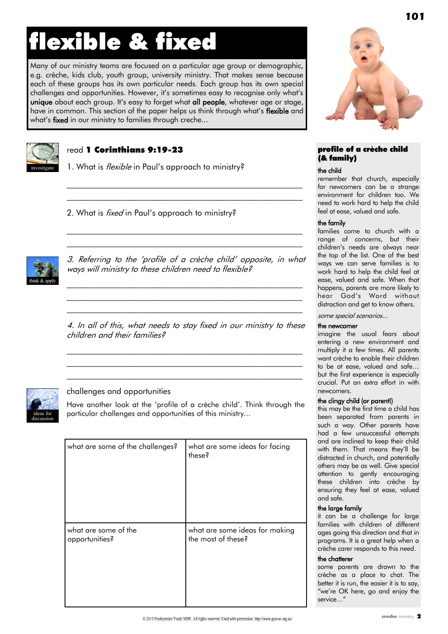# flexible & fixed

Many of our ministry teams are focused on a particular age group or demographic, e.g. crèche, kids club, youth group, university ministry. That makes sense because each of these groups has its own particular needs. Each group has its own special challenges and opportunities. However, it's sometimes easy to recognise only what's unique about each group. It's easy to forget what all people, whatever age or stage, have in common. This section of the paper helps us think through what's flexible and what's fixed in our ministry to families through creche...



#### read 1 Corinthians 9:19-23

1. What is *flexible* in Paul's approach to ministry?

2. What is *fixed* in Paul's approach to ministry?



3. Referring to the "profile of a crèche child" opposite, in what ways will ministry to these children need to flexible?

 $\mathcal{L}_\text{max}$  and the contract of the contract of the contract of the contract of the contract of the contract of \_\_\_\_\_\_\_\_\_\_\_\_\_\_\_\_\_\_\_\_\_\_\_\_\_\_\_\_\_\_\_\_\_\_\_\_\_\_\_\_\_\_\_\_\_\_\_\_\_\_\_\_\_\_\_\_\_ \_\_\_\_\_\_\_\_\_\_\_\_\_\_\_\_\_\_\_\_\_\_\_\_\_\_\_\_\_\_\_\_\_\_\_\_\_\_\_\_\_\_\_\_\_\_\_\_\_\_\_\_\_\_\_\_\_

 $\mathcal{L}_\text{max}$  and the contract of the contract of the contract of the contract of the contract of the contract of  $\mathcal{L}_\text{max}$  and the contract of the contract of the contract of the contract of the contract of the contract of

 $\mathcal{L}_\text{max}$  and the contract of the contract of the contract of the contract of the contract of the contract of  $\mathcal{L}_\text{max}$  and the contract of the contract of the contract of the contract of the contract of the contract of

4. In all of this, what needs to stay fixed in our ministry to these children and their families?

\_\_\_\_\_\_\_\_\_\_\_\_\_\_\_\_\_\_\_\_\_\_\_\_\_\_\_\_\_\_\_\_\_\_\_\_\_\_\_\_\_\_\_\_\_\_\_\_\_\_\_\_\_\_\_\_\_  $\mathcal{L}_\text{max}$  and the contract of the contract of the contract of the contract of the contract of the contract of \_\_\_\_\_\_\_\_\_\_\_\_\_\_\_\_\_\_\_\_\_\_\_\_\_\_\_\_\_\_\_\_\_\_\_\_\_\_\_\_\_\_\_\_\_\_\_\_\_\_\_\_\_\_\_\_\_



#### challenges and opportunities

Have another look at the 'profile of a crèche child'. Think through the particular challenges and opportunities of this ministry...

| what are some of the challenges? | what are some ideas for facing<br>these? |
|----------------------------------|------------------------------------------|
| what are some of the             | what are some ideas for making           |
| opportunities?                   | the most of these?                       |



**101**

#### profile of a crèche child (& family)

#### the child

remember that church, especially for newcomers can be a strange environment for children too. We need to work hard to help the child feel at ease, valued and safe.

#### the family

families come to church with a range of concerns, but their children"s needs are always near the top of the list. One of the best ways we can serve families is to work hard to help the child feel at ease, valued and safe. When that happens, parents are more likely to hear God"s Word without distraction and get to know others.

some special scenarios...

#### the newcomer

imagine the usual fears about entering a new environment and multiply it a few times. All parents want crèche to enable their children to be at ease, valued and safe… but the first experience is especially crucial. Put an extra effort in with newcomers.

#### the clingy child (or parent!)

this may be the first time a child has been separated from parents in such a way. Other parents have had a few unsuccessful attempts and are inclined to keep their child with them. That means they'll be distracted in church, and potentially others may be as well. Give special attention to gently encouraging these children into crèche by ensuring they feel at ease, valued and safe.

#### the large family

it can be a challenge for large families with children of different ages going this direction and that in programs. It is a great help when a crèche carer responds to this need.

#### the chatterer

some parents are drawn to the crèche as a place to chat. The better it is run, the easier it is to say, "we"re OK here, go and enjoy the service…"

© 2019 Presbyterian Youth NSW, All rights reserved. Used with permission, http://www.pynsw.org.au/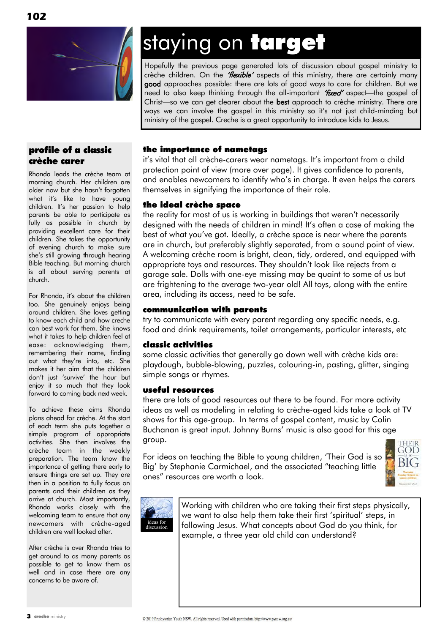

### profile of a classic crèche carer

Rhonda leads the crèche team at morning church. Her children are older now but she hasn't forgotten what it's like to have young children. It"s her passion to help parents be able to participate as fully as possible in church by providing excellent care for their children. She takes the opportunity of evening church to make sure she"s still growing through hearing Bible teaching. But morning church is all about serving parents at church.

For Rhonda, it"s about the children too. She genuinely enjoys being around children. She loves getting to know each child and how creche can best work for them. She knows what it takes to help children feel at ease: acknowledging them, remembering their name, finding out what they"re into, etc. She makes it her aim that the children don"t just "survive" the hour but enjoy it so much that they look forward to coming back next week.

To achieve these aims Rhonda plans ahead for crèche. At the start of each term she puts together a simple program of appropriate activities. She then involves the crèche team in the weekly preparation. The team know the importance of getting there early to ensure things are set up. They are then in a position to fully focus on parents and their children as they arrive at church. Most importantly, Rhonda works closely with the welcoming team to ensure that any newcomers with crèche-aged children are well looked after.

After crèche is over Rhonda tries to get around to as many parents as possible to get to know them as well and in case there are any concerns to be aware of.

# staying on target

Hopefully the previous page generated lots of discussion about gospel ministry to crèche children. On the "Hexible" aspects of this ministry, there are certainly many good approaches possible: there are lots of good ways to care for children. But we need to also keep thinking through the all-important "fixed" aspect—the gospel of Christ—so we can get clearer about the best approach to crèche ministry. There are ways we can involve the gospel in this ministry so it"s not just child-minding but ministry of the gospel. Creche is a great opportunity to introduce kids to Jesus.

### the importance of nametags

it"s vital that all crèche-carers wear nametags. It"s important from a child protection point of view (more over page). It gives confidence to parents, and enables newcomers to identify who"s in charge. It even helps the carers themselves in signifying the importance of their role.

#### the ideal crèche space

the reality for most of us is working in buildings that weren"t necessarily designed with the needs of children in mind! It"s often a case of making the best of what you"ve got. Ideally, a crèche space is near where the parents are in church, but preferably slightly separated, from a sound point of view. A welcoming crèche room is bright, clean, tidy, ordered, and equipped with appropriate toys and resources. They shouldn"t look like rejects from a garage sale. Dolls with one-eye missing may be quaint to some of us but are frightening to the average two-year old! All toys, along with the entire area, including its access, need to be safe.

#### communication with parents

try to communicate with every parent regarding any specific needs, e.g. food and drink requirements, toilet arrangements, particular interests, etc

#### classic activities

some classic activities that generally go down well with crèche kids are: playdough, bubble-blowing, puzzles, colouring-in, pasting, glitter, singing simple songs or rhymes.

#### useful resources

there are lots of good resources out there to be found. For more activity ideas as well as modeling in relating to crèche-aged kids take a look at TV shows for this age-group. In terms of gospel content, music by Colin Buchanan is great input. Johnny Burns' music is also good for this age group.

For ideas on teaching the Bible to young children, 'Their God is so Big" by Stephanie Carmichael, and the associated "teaching little ones" resources are worth a look.





Working with children who are taking their first steps physically, we want to also help them take their first "spiritual" steps, in following Jesus. What concepts about God do you think, for example, a three year old child can understand?